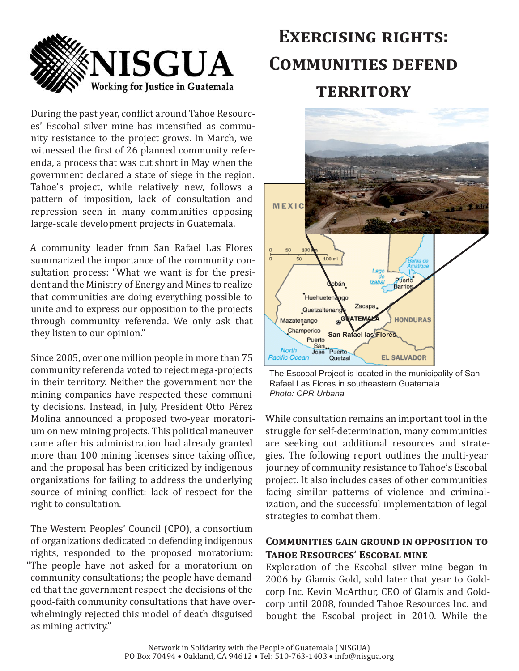

During the past year, conflict around Tahoe Resources' Escobal silver mine has intensified as community resistance to the project grows. In March, we witnessed the first of 26 planned community referenda, a process that was cut short in May when the government declared a state of siege in the region. Tahoe's project, while relatively new, follows a pattern of imposition, lack of consultation and repression seen in many communities opposing large-scale development projects in Guatemala.

A community leader from San Rafael Las Flores summarized the importance of the community consultation process: "What we want is for the president and the Ministry of Energy and Mines to realize that communities are doing everything possible to unite and to express our opposition to the projects through community referenda. We only ask that they listen to our opinion."

Since 2005, over one million people in more than 75 community referenda voted to reject mega-projects in their territory. Neither the government nor the mining companies have respected these community decisions. Instead, in July, President Otto Pérez Molina announced a proposed two-year moratorium on new mining projects. This political maneuver came after his administration had already granted more than 100 mining licenses since taking office, and the proposal has been criticized by indigenous organizations for failing to address the underlying source of mining conflict: lack of respect for the right to consultation.

The Western Peoples' Council (CPO), a consortium of organizations dedicated to defending indigenous rights, responded to the proposed moratorium: "The people have not asked for a moratorium on community consultations; the people have demanded that the government respect the decisions of the good-faith community consultations that have overwhelmingly rejected this model of death disguised as mining activity."

# **EXERCISING RIGHTS: COMMUNITIES DEFEND TERRITORY**



The Escobal Project is located in the municipality of San Rafael Las Flores in southeastern Guatemala. Photo: CPR Urbana

While consultation remains an important tool in the struggle for self-determination, many communities are seeking out additional resources and strategies. The following report outlines the multi-year journey of community resistance to Tahoe's Escobal project. It also includes cases of other communities facing similar patterns of violence and criminalization, and the successful implementation of legal strategies to combat them.

## **COMMUNITIES GAIN GROUND IN OPPOSITION TO TAHOE RESOURCES' ESCOBAL MINE**

Exploration of the Escobal silver mine began in 2006 by Glamis Gold, sold later that year to Goldcorp Inc. Kevin McArthur, CEO of Glamis and Goldcorp until 2008, founded Tahoe Resources Inc. and bought the Escobal project in 2010. While the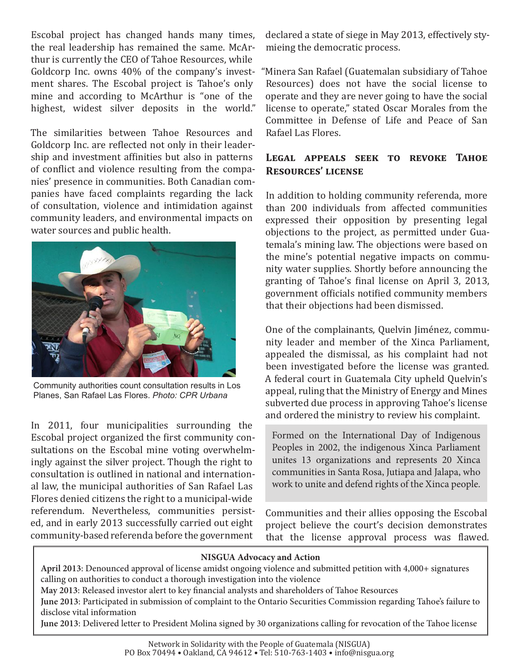Escobal project has changed hands many times. the real leadership has remained the same. McArthur is currently the CEO of Tahoe Resources, while Goldcorp Inc. owns 40% of the company's investment shares. The Escobal project is Tahoe's only mine and according to McArthur is "one of the highest, widest silver deposits in the world."

The similarities between Tahoe Resources and Goldcorp Inc. are reflected not only in their leadership and investment affinities but also in patterns of conflict and violence resulting from the companies' presence in communities. Both Canadian companies have faced complaints regarding the lack of consultation, violence and intimidation against community leaders, and environmental impacts on water sources and public health.



Community authorities count consultation results in Los Planes, San Rafael Las Flores. Photo: CPR Urbana

In 2011, four municipalities surrounding the Escobal project organized the first community consultations on the Escobal mine voting overwhelmingly against the silver project. Though the right to consultation is outlined in national and international law, the municipal authorities of San Rafael Las Flores denied citizens the right to a municipal-wide referendum. Nevertheless, communities persisted, and in early 2013 successfully carried out eight community-based referenda before the government

declared a state of siege in May 2013, effectively stymieing the democratic process.

"Minera San Rafael (Guatemalan subsidiary of Tahoe Resources) does not have the social license to operate and they are never going to have the social license to operate," stated Oscar Morales from the Committee in Defense of Life and Peace of San Rafael Las Flores

## LEGAL APPEALS SEEK TO REVOKE TAHOE **RESOURCES' LICENSE**

In addition to holding community referenda, more than 200 individuals from affected communities expressed their opposition by presenting legal objections to the project, as permitted under Guatemala's mining law. The objections were based on the mine's potential negative impacts on community water supplies. Shortly before announcing the granting of Tahoe's final license on April 3, 2013. government officials notified community members that their objections had been dismissed.

One of the complainants, Quelvin Jiménez, community leader and member of the Xinca Parliament. appealed the dismissal, as his complaint had not been investigated before the license was granted. A federal court in Guatemala City upheld Quelvin's appeal, ruling that the Ministry of Energy and Mines subverted due process in approving Tahoe's license and ordered the ministry to review his complaint.

Formed on the International Day of Indigenous Peoples in 2002, the indigenous Xinca Parliament unites 13 organizations and represents 20 Xinca communities in Santa Rosa, Jutiapa and Jalapa, who work to unite and defend rights of the Xinca people.

Communities and their allies opposing the Escobal project believe the court's decision demonstrates that the license approval process was flawed.

#### **NISGUA Advocacy and Action**

**April 2013**: Denounced approval of license amidst ongoing violence and submitted petition with 4,000+ signatures calling on authorities to conduct a thorough investigation into the violence

May 2013: Released investor alert to key financial analysts and shareholders of Tahoe Resources

**June 2013**: Participated in submission of complaint to the Ontario Securities Commission regarding Tahoe's failure to disclose vital information

**June 2013**: Delivered letter to President Molina signed by 30 organizations calling for revocation of the Tahoe license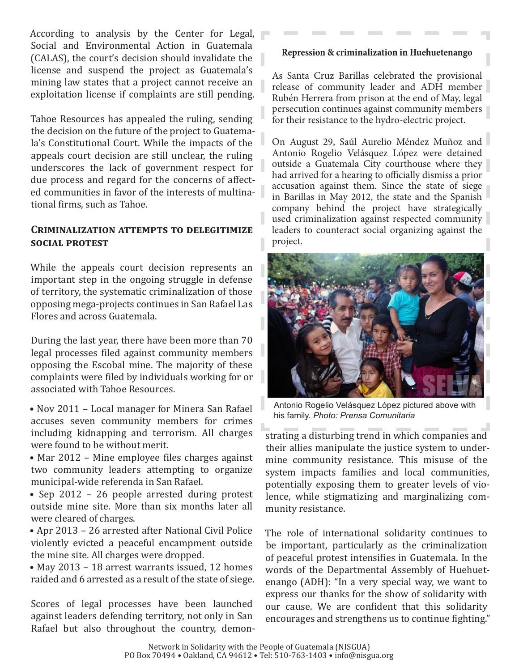According to analysis by the Center for Legal, Social and Environmental Action in Guatemala (CALAS), the court's decision should invalidate the license and suspend the project as Guatemala's mining law states that a project cannot receive an exploitation license if complaints are still pending.

Tahoe Resources has appealed the ruling, sending the decision on the future of the project to Guatemala's Constitutional Court. While the impacts of the appeals court decision are still unclear, the ruling underscores the lack of government respect for due process and regard for the concerns of affected communities in favor of the interests of multinational firms, such as Tahoe.

## **CRIMINALIZATION ATTEMPTS TO DELEGITIMIZE SOCIAL PROTEST**

While the appeals court decision represents an important step in the ongoing struggle in defense of territory, the systematic criminalization of those opposing mega-projects continues in San Rafael Las Flores and across Guatemala.

During the last year, there have been more than 70 legal processes filed against community members opposing the Escobal mine. The majority of these complaints were filed by individuals working for or associated with Tahoe Resources.

- Nov 2011 Local manager for Minera San Rafael accuses seven community members for crimes including kidnapping and terrorism. All charges were found to be without merit.
- Mar 2012 Mine employee files charges against two community leaders attempting to organize municipal-wide referenda in San Rafael.

• Sep 2012 – 26 people arrested during protest outside mine site. More than six months later all were cleared of charges.

• Apr 2013 - 26 arrested after National Civil Police violently evicted a peaceful encampment outside the mine site. All charges were dropped.

• May 2013 - 18 arrest warrants issued, 12 homes raided and 6 arrested as a result of the state of siege.

Scores of legal processes have been launched against leaders defending territory, not only in San Rafael but also throughout the country, demon-

#### **Repression & criminalization in Huehuetenango**

As Santa Cruz Barillas celebrated the provisional release of community leader and ADH member Rubén Herrera from prison at the end of May, legal persecution continues against community members for their resistance to the hydro-electric project.

On August 29, Saúl Aurelio Méndez Muñoz and Antonio Rogelio Velásquez López were detained outside a Guatemala City courthouse where they had arrived for a hearing to officially dismiss a prior accusation against them. Since the state of siege in Barillas in May 2012, the state and the Spanish company behind the project have strategically used criminalization against respected community leaders to counteract social organizing against the project.



Antonio Rogelio Velásquez López pictured above with his\$family.\$*Photo:&Prensa&Comunitaria*

strating a disturbing trend in which companies and their allies manipulate the justice system to undermine community resistance. This misuse of the system impacts families and local communities, potentially exposing them to greater levels of violence, while stigmatizing and marginalizing community resistance.

The role of international solidarity continues to be important, particularly as the criminalization of peaceful protest intensifies in Guatemala. In the words of the Departmental Assembly of Huehuetenango (ADH): "In a very special way, we want to express our thanks for the show of solidarity with our cause. We are confident that this solidarity encourages and strengthens us to continue fighting."